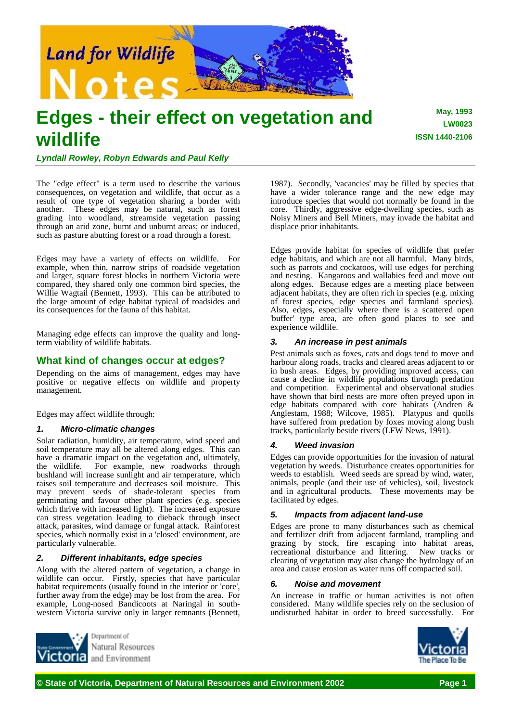

# **Edges - their effect on vegetation and wildlife**

**May, 1993 LW0023 ISSN 1440-2106**

*Lyndall Rowley, Robyn Edwards and Paul Kelly*

The "edge effect" is a term used to describe the various consequences, on vegetation and wildlife, that occur as a result of one type of vegetation sharing a border with another. These edges may be natural, such as forest grading into woodland, streamside vegetation passing through an arid zone, burnt and unburnt areas; or induced, such as pasture abutting forest or a road through a forest.

Edges may have a variety of effects on wildlife. For example, when thin, narrow strips of roadside vegetation and larger, square forest blocks in northern Victoria were compared, they shared only one common bird species, the Willie Wagtail (Bennett, 1993). This can be attributed to the large amount of edge habitat typical of roadsides and its consequences for the fauna of this habitat.

Managing edge effects can improve the quality and longterm viability of wildlife habitats.

## **What kind of changes occur at edges?**

Depending on the aims of management, edges may have positive or negative effects on wildlife and property management.

Edges may affect wildlife through:

## *1. Micro-climatic changes*

Solar radiation, humidity, air temperature, wind speed and soil temperature may all be altered along edges. This can have a dramatic impact on the vegetation and, ultimately, the wildlife. For example, new roadworks through bushland will increase sunlight and air temperature, which raises soil temperature and decreases soil moisture. This may prevent seeds of shade-tolerant species from germinating and favour other plant species (e.g. species which thrive with increased light). The increased exposure can stress vegetation leading to dieback through insect attack, parasites, wind damage or fungal attack. Rainforest species, which normally exist in a 'closed' environment, are particularly vulnerable.

## *2. Different inhabitants, edge species*

Along with the altered pattern of vegetation, a change in wildlife can occur. Firstly, species that have particular habitat requirements (usually found in the interior or 'core', further away from the edge) may be lost from the area. For example, Long-nosed Bandicoots at Naringal in southwestern Victoria survive only in larger remnants (Bennett,



1987). Secondly, 'vacancies' may be filled by species that have a wider tolerance range and the new edge may introduce species that would not normally be found in the core. Thirdly, aggressive edge-dwelling species, such as Noisy Miners and Bell Miners, may invade the habitat and displace prior inhabitants.

Edges provide habitat for species of wildlife that prefer edge habitats, and which are not all harmful. Many birds, such as parrots and cockatoos, will use edges for perching and nesting. Kangaroos and wallabies feed and move out along edges. Because edges are a meeting place between adjacent habitats, they are often rich in species (e.g. mixing of forest species, edge species and farmland species). Also, edges, especially where there is a scattered open 'buffer' type area, are often good places to see and experience wildlife.

## *3. An increase in pest animals*

Pest animals such as foxes, cats and dogs tend to move and harbour along roads, tracks and cleared areas adjacent to or in bush areas. Edges, by providing improved access, can cause a decline in wildlife populations through predation and competition. Experimental and observational studies have shown that bird nests are more often preyed upon in edge habitats compared with core habitats (Andren & Anglestam, 1988; Wilcove, 1985). Platypus and quolls have suffered from predation by foxes moving along bush tracks, particularly beside rivers (LFW News, 1991).

## *4. Weed invasion*

Edges can provide opportunities for the invasion of natural vegetation by weeds. Disturbance creates opportunities for weeds to establish. Weed seeds are spread by wind, water, animals, people (and their use of vehicles), soil, livestock and in agricultural products. These movements may be facilitated by edges.

## *5. Impacts from adjacent land-use*

Edges are prone to many disturbances such as chemical and fertilizer drift from adjacent farmland, trampling and grazing by stock, fire escaping into habitat areas, recreational disturbance and littering. New tracks or clearing of vegetation may also change the hydrology of an area and cause erosion as water runs off compacted soil.

## *6. Noise and movement*

An increase in traffic or human activities is not often considered. Many wildlife species rely on the seclusion of undisturbed habitat in order to breed successfully. For

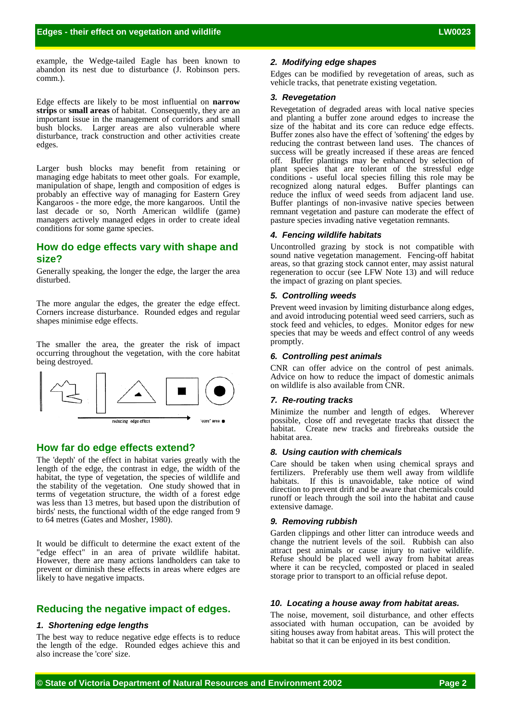example, the Wedge-tailed Eagle has been known to abandon its nest due to disturbance (J. Robinson pers. comm.).

Edge effects are likely to be most influential on **narrow strips** or **small areas** of habitat. Consequently, they are an important issue in the management of corridors and small bush blocks. Larger areas are also vulnerable where disturbance, track construction and other activities create edges.

Larger bush blocks may benefit from retaining or managing edge habitats to meet other goals. For example, manipulation of shape, length and composition of edges is probably an effective way of managing for Eastern Grey Kangaroos - the more edge, the more kangaroos. Until the last decade or so, North American wildlife (game) managers actively managed edges in order to create ideal conditions for some game species.

## **How do edge effects vary with shape and size?**

Generally speaking, the longer the edge, the larger the area disturbed.

The more angular the edges, the greater the edge effect. Corners increase disturbance. Rounded edges and regular shapes minimise edge effects.

The smaller the area, the greater the risk of impact occurring throughout the vegetation, with the core habitat being destroyed.



## **How far do edge effects extend?**

The 'depth' of the effect in habitat varies greatly with the length of the edge, the contrast in edge, the width of the habitat, the type of vegetation, the species of wildlife and the stability of the vegetation. One study showed that in terms of vegetation structure, the width of a forest edge was less than 13 metres, but based upon the distribution of birds' nests, the functional width of the edge ranged from 9 to 64 metres (Gates and Mosher, 1980).

It would be difficult to determine the exact extent of the "edge effect" in an area of private wildlife habitat. However, there are many actions landholders can take to prevent or diminish these effects in areas where edges are likely to have negative impacts.

## **Reducing the negative impact of edges.**

#### *1. Shortening edge lengths*

The best way to reduce negative edge effects is to reduce the length of the edge. Rounded edges achieve this and also increase the 'core' size.

### *2. Modifying edge shapes*

Edges can be modified by revegetation of areas, such as vehicle tracks, that penetrate existing vegetation.

#### *3. Revegetation*

Revegetation of degraded areas with local native species and planting a buffer zone around edges to increase the size of the habitat and its core can reduce edge effects. Buffer zones also have the effect of 'softening' the edges by reducing the contrast between land uses. The chances of success will be greatly increased if these areas are fenced off. Buffer plantings may be enhanced by selection of plant species that are tolerant of the stressful edge conditions - useful local species filling this role may be recognized along natural edges. Buffer plantings can reduce the influx of weed seeds from adjacent land use. Buffer plantings of non-invasive native species between remnant vegetation and pasture can moderate the effect of pasture species invading native vegetation remnants.

#### *4. Fencing wildlife habitats*

Uncontrolled grazing by stock is not compatible with sound native vegetation management. Fencing-off habitat areas, so that grazing stock cannot enter, may assist natural regeneration to occur (see LFW Note 13) and will reduce the impact of grazing on plant species.

#### *5. Controlling weeds*

Prevent weed invasion by limiting disturbance along edges, and avoid introducing potential weed seed carriers, such as stock feed and vehicles, to edges. Monitor edges for new species that may be weeds and effect control of any weeds promptly.

#### *6. Controlling pest animals*

CNR can offer advice on the control of pest animals. Advice on how to reduce the impact of domestic animals on wildlife is also available from CNR.

#### *7. Re-routing tracks*

Minimize the number and length of edges. Wherever possible, close off and revegetate tracks that dissect the habitat. Create new tracks and firebreaks outside the habitat area.

#### *8. Using caution with chemicals*

Care should be taken when using chemical sprays and fertilizers. Preferably use them well away from wildlife habitats. If this is unavoidable, take notice of wind direction to prevent drift and be aware that chemicals could runoff or leach through the soil into the habitat and cause extensive damage.

#### *9. Removing rubbish*

Garden clippings and other litter can introduce weeds and change the nutrient levels of the soil. Rubbish can also attract pest animals or cause injury to native wildlife. Refuse should be placed well away from habitat areas where it can be recycled, composted or placed in sealed storage prior to transport to an official refuse depot.

#### *10. Locating a house away from habitat areas.*

The noise, movement, soil disturbance, and other effects associated with human occupation, can be avoided by siting houses away from habitat areas. This will protect the habitat so that it can be enjoyed in its best condition.